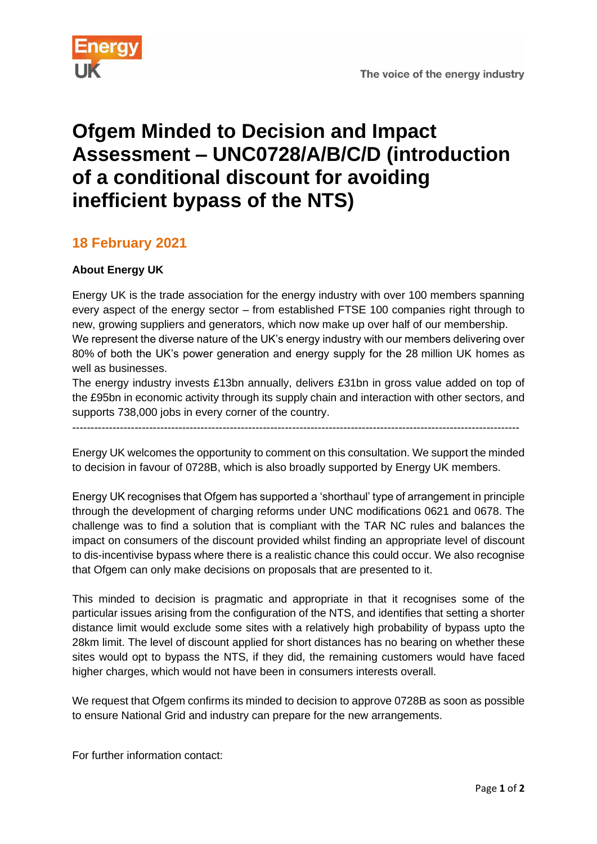

## **Ofgem Minded to Decision and Impact Assessment – UNC0728/A/B/C/D (introduction of a conditional discount for avoiding inefficient bypass of the NTS)**

## **18 February 2021**

## **About Energy UK**

Energy UK is the trade association for the energy industry with over 100 members spanning every aspect of the energy sector – from established FTSE 100 companies right through to new, growing suppliers and generators, which now make up over half of our membership. We represent the diverse nature of the UK's energy industry with our members delivering over 80% of both the UK's power generation and energy supply for the 28 million UK homes as well as businesses.

The energy industry invests £13bn annually, delivers £31bn in gross value added on top of the £95bn in economic activity through its supply chain and interaction with other sectors, and supports 738,000 jobs in every corner of the country.

--------------------------------------------------------------------------------------------------------------------------

Energy UK welcomes the opportunity to comment on this consultation. We support the minded to decision in favour of 0728B, which is also broadly supported by Energy UK members.

Energy UK recognises that Ofgem has supported a 'shorthaul' type of arrangement in principle through the development of charging reforms under UNC modifications 0621 and 0678. The challenge was to find a solution that is compliant with the TAR NC rules and balances the impact on consumers of the discount provided whilst finding an appropriate level of discount to dis-incentivise bypass where there is a realistic chance this could occur. We also recognise that Ofgem can only make decisions on proposals that are presented to it.

This minded to decision is pragmatic and appropriate in that it recognises some of the particular issues arising from the configuration of the NTS, and identifies that setting a shorter distance limit would exclude some sites with a relatively high probability of bypass upto the 28km limit. The level of discount applied for short distances has no bearing on whether these sites would opt to bypass the NTS, if they did, the remaining customers would have faced higher charges, which would not have been in consumers interests overall.

We request that Ofgem confirms its minded to decision to approve 0728B as soon as possible to ensure National Grid and industry can prepare for the new arrangements.

For further information contact: